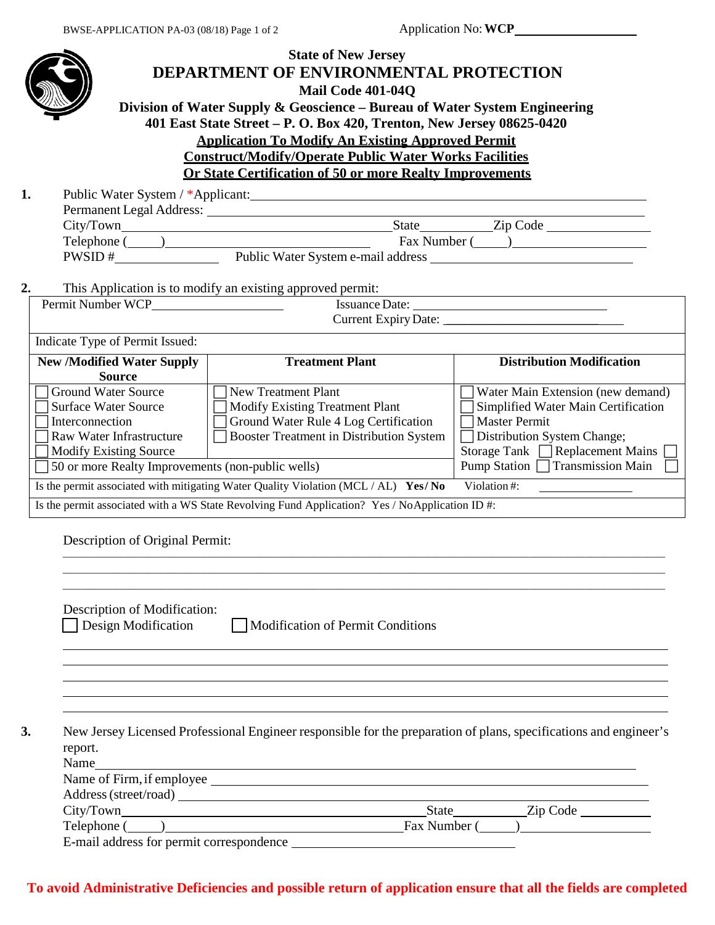|                                                                                                                                                                                                | <b>State of New Jersey</b><br>DEPARTMENT OF ENVIRONMENTAL PROTECTION<br><b>Mail Code 401-040</b><br>Division of Water Supply & Geoscience – Bureau of Water System Engineering<br>401 East State Street - P. O. Box 420, Trenton, New Jersey 08625-0420<br><b>Application To Modify An Existing Approved Permit</b><br><b>Construct/Modify/Operate Public Water Works Facilities</b><br>Or State Certification of 50 or more Realty Improvements |                                                                                                                                                                                                                          |
|------------------------------------------------------------------------------------------------------------------------------------------------------------------------------------------------|--------------------------------------------------------------------------------------------------------------------------------------------------------------------------------------------------------------------------------------------------------------------------------------------------------------------------------------------------------------------------------------------------------------------------------------------------|--------------------------------------------------------------------------------------------------------------------------------------------------------------------------------------------------------------------------|
| 1.                                                                                                                                                                                             |                                                                                                                                                                                                                                                                                                                                                                                                                                                  |                                                                                                                                                                                                                          |
|                                                                                                                                                                                                | Permanent Legal Address:                                                                                                                                                                                                                                                                                                                                                                                                                         |                                                                                                                                                                                                                          |
|                                                                                                                                                                                                |                                                                                                                                                                                                                                                                                                                                                                                                                                                  |                                                                                                                                                                                                                          |
|                                                                                                                                                                                                |                                                                                                                                                                                                                                                                                                                                                                                                                                                  |                                                                                                                                                                                                                          |
|                                                                                                                                                                                                |                                                                                                                                                                                                                                                                                                                                                                                                                                                  |                                                                                                                                                                                                                          |
|                                                                                                                                                                                                | This Application is to modify an existing approved permit:                                                                                                                                                                                                                                                                                                                                                                                       | <u> 1989 - Johann Barn, amerikan besteman besteman besteman besteman besteman besteman besteman besteman bestema</u>                                                                                                     |
|                                                                                                                                                                                                |                                                                                                                                                                                                                                                                                                                                                                                                                                                  |                                                                                                                                                                                                                          |
|                                                                                                                                                                                                |                                                                                                                                                                                                                                                                                                                                                                                                                                                  |                                                                                                                                                                                                                          |
| Indicate Type of Permit Issued:                                                                                                                                                                |                                                                                                                                                                                                                                                                                                                                                                                                                                                  |                                                                                                                                                                                                                          |
| <b>New /Modified Water Supply</b><br><b>Source</b>                                                                                                                                             | <b>Treatment Plant</b>                                                                                                                                                                                                                                                                                                                                                                                                                           | <b>Distribution Modification</b>                                                                                                                                                                                         |
| <b>Ground Water Source</b><br><b>Surface Water Source</b><br>Interconnection<br>Raw Water Infrastructure<br><b>Modify Existing Source</b><br>50 or more Realty Improvements (non-public wells) | <b>New Treatment Plant</b><br>Modify Existing Treatment Plant<br>Ground Water Rule 4 Log Certification<br>Booster Treatment in Distribution System<br>Is the permit associated with mitigating Water Quality Violation (MCL / AL) Yes/ No<br>Is the permit associated with a WS State Revolving Fund Application? Yes / NoApplication ID #:                                                                                                      | Water Main Extension (new demand)<br>Simplified Water Main Certification<br><b>Master Permit</b><br>Distribution System Change;<br>Storage Tank   Replacement Mains  <br>Pump Station □ Transmission Main<br>Violation#: |
| Description of Original Permit:                                                                                                                                                                |                                                                                                                                                                                                                                                                                                                                                                                                                                                  |                                                                                                                                                                                                                          |
| Description of Modification:<br>Design Modification                                                                                                                                            | Modification of Permit Conditions                                                                                                                                                                                                                                                                                                                                                                                                                |                                                                                                                                                                                                                          |
| 3.<br>report.<br>Name                                                                                                                                                                          | New Jersey Licensed Professional Engineer responsible for the preparation of plans, specifications and engineer's<br><u> 1989 - Andrea Station Barbara, amerikan personal di sebagai personal di sebagai personal di sebagai personal </u>                                                                                                                                                                                                       |                                                                                                                                                                                                                          |
|                                                                                                                                                                                                |                                                                                                                                                                                                                                                                                                                                                                                                                                                  |                                                                                                                                                                                                                          |
|                                                                                                                                                                                                |                                                                                                                                                                                                                                                                                                                                                                                                                                                  |                                                                                                                                                                                                                          |
|                                                                                                                                                                                                | Telephone (Champion Company of Telephone Champion Champion Champion Champion Champion Champion Champion Champion Champion Champion Champion Champion Champion Champion Champion Champion Champion Champion Champion Champion C                                                                                                                                                                                                                   |                                                                                                                                                                                                                          |
|                                                                                                                                                                                                |                                                                                                                                                                                                                                                                                                                                                                                                                                                  |                                                                                                                                                                                                                          |

## **To avoid Administrative Deficiencies and possible return of application ensure that all the fields are completed**